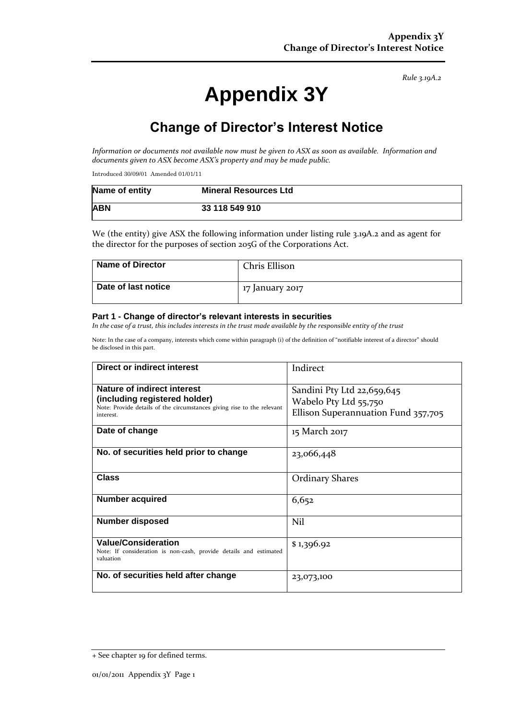*Rule 3.19A.2*

# **Appendix 3Y**

# **Change of Director's Interest Notice**

*Information or documents not available now must be given to ASX as soon as available. Information and documents given to ASX become ASX's property and may be made public.*

Introduced 30/09/01 Amended 01/01/11

| Name of entity | <b>Mineral Resources Ltd</b> |
|----------------|------------------------------|
| <b>ABN</b>     | 33 118 549 910               |

We (the entity) give ASX the following information under listing rule 3.19A.2 and as agent for the director for the purposes of section 205G of the Corporations Act.

| Name of Director    | Chris Ellison   |
|---------------------|-----------------|
| Date of last notice | 17 January 2017 |

#### **Part 1 - Change of director's relevant interests in securities**

*In the case of a trust, this includes interests in the trust made available by the responsible entity of the trust*

Note: In the case of a company, interests which come within paragraph (i) of the definition of "notifiable interest of a director" should be disclosed in this part.

| Direct or indirect interest                                                                                                                         | Indirect                                                                                   |  |
|-----------------------------------------------------------------------------------------------------------------------------------------------------|--------------------------------------------------------------------------------------------|--|
| Nature of indirect interest<br>(including registered holder)<br>Note: Provide details of the circumstances giving rise to the relevant<br>interest. | Sandini Pty Ltd 22,659,645<br>Wabelo Pty Ltd 55,750<br>Ellison Superannuation Fund 357,705 |  |
| Date of change                                                                                                                                      | 15 March 2017                                                                              |  |
| No. of securities held prior to change                                                                                                              | 23,066,448                                                                                 |  |
| Class                                                                                                                                               | <b>Ordinary Shares</b>                                                                     |  |
| <b>Number acquired</b>                                                                                                                              | 6,652                                                                                      |  |
| <b>Number disposed</b>                                                                                                                              | Nil                                                                                        |  |
| <b>Value/Consideration</b><br>Note: If consideration is non-cash, provide details and estimated<br>valuation                                        | \$1,396.92                                                                                 |  |
| No. of securities held after change                                                                                                                 | 23,073,100                                                                                 |  |

<sup>+</sup> See chapter 19 for defined terms.